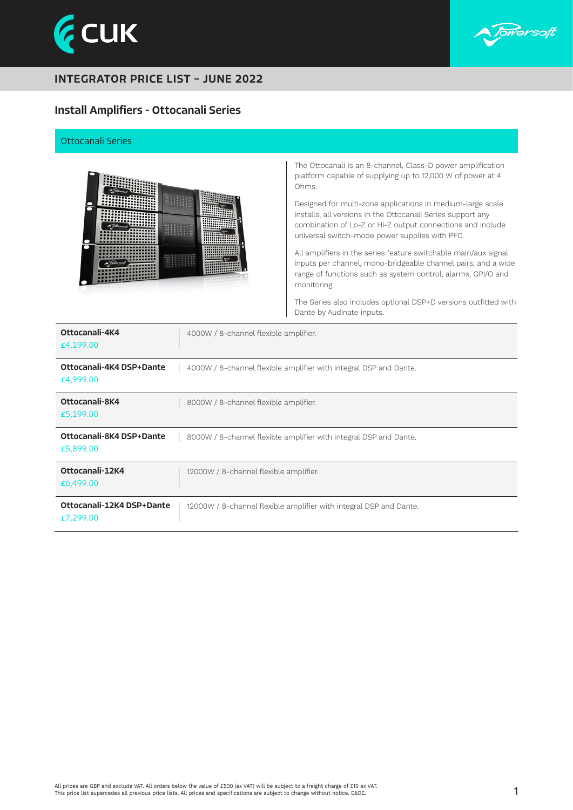



# Install Amplifiers - Ottocanali Series

#### Ottocanali Series



The Ottocanali is an 8-channel, Class-D power amplification platform capable of supplying up to 12,000 W of power at 4 Ohms.

Designed for multi-zone applications in medium-large scale installs, all versions in the Ottocanali Series support any combination of Lo-Z or Hi-Z output connections and include universal switch-mode power supplies with PFC.

All amplifiers in the series feature switchable main/aux signal inputs per channel, mono-bridgeable channel pairs, and a wide range of functions such as system control, alarms, GPI/O and monitoring.

The Series also includes optional DSP+D versions outfitted with Dante by Audinate inputs.

| Ottocanali-4K4<br>£4,199.00            | 4000W / 8-channel flexible amplifier.                              |
|----------------------------------------|--------------------------------------------------------------------|
| Ottocanali-4K4 DSP+Dante<br>£4,999.00  | 4000W / 8-channel flexible amplifier with integral DSP and Dante.  |
| Ottocanali-8K4<br>£5,199.00            | 8000W / 8-channel flexible amplifier.                              |
| Ottocanali-8K4 DSP+Dante<br>£5,899.00  | 8000W / 8-channel flexible amplifier with integral DSP and Dante.  |
| Ottocanali-12K4<br>£6,499.00           | 12000W / 8-channel flexible amplifier.                             |
| Ottocanali-12K4 DSP+Dante<br>£7,299.00 | 12000W / 8-channel flexible amplifier with integral DSP and Dante. |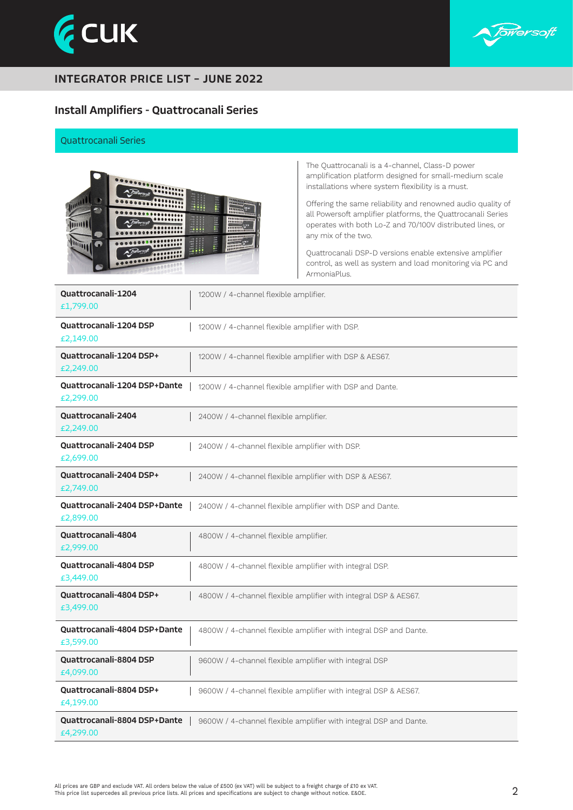



### Install Amplifiers - Quattrocanali Series

#### Quattrocanali Series



The Quattrocanali is a 4-channel, Class-D power amplification platform designed for small-medium scale installations where system flexibility is a must.

Offering the same reliability and renowned audio quality of all Powersoft amplifier platforms, the Quattrocanali Series operates with both Lo-Z and 70/100V distributed lines, or any mix of the two.

Quattrocanali DSP-D versions enable extensive amplifier control, as well as system and load monitoring via PC and ArmoniaPlus.

| <b>Quattrocanali-1204</b><br>£1,799.00           | 1200W / 4-channel flexible amplifier.                             |  |
|--------------------------------------------------|-------------------------------------------------------------------|--|
| <b>Ouattrocanali-1204 DSP</b><br>£2,149.00       | 1200W / 4-channel flexible amplifier with DSP.                    |  |
| Ouattrocanali-1204 DSP+<br>£2,249.00             | 1200W / 4-channel flexible amplifier with DSP & AES67.            |  |
| <b>Quattrocanali-1204 DSP+Dante</b><br>£2,299.00 | 1200W / 4-channel flexible amplifier with DSP and Dante.          |  |
| <b>Quattrocanali-2404</b><br>£2,249.00           | 2400W / 4-channel flexible amplifier.                             |  |
| <b>Ouattrocanali-2404 DSP</b><br>£2,699.00       | 2400W / 4-channel flexible amplifier with DSP.                    |  |
| <b>Quattrocanali-2404 DSP+</b><br>£2,749.00      | 2400W / 4-channel flexible amplifier with DSP & AES67.            |  |
| <b>Quattrocanali-2404 DSP+Dante</b><br>£2,899.00 | 2400W / 4-channel flexible amplifier with DSP and Dante.          |  |
| <b>Quattrocanali-4804</b><br>£2,999.00           | 4800W / 4-channel flexible amplifier.                             |  |
| <b>Quattrocanali-4804 DSP</b><br>£3,449.00       | 4800W / 4-channel flexible amplifier with integral DSP.           |  |
| Quattrocanali-4804 DSP+<br>£3,499.00             | 4800W / 4-channel flexible amplifier with integral DSP & AES67.   |  |
| Quattrocanali-4804 DSP+Dante<br>£3,599.00        | 4800W / 4-channel flexible amplifier with integral DSP and Dante. |  |
| <b>Ouattrocanali-8804 DSP</b><br>£4,099.00       | 9600W / 4-channel flexible amplifier with integral DSP            |  |
| Quattrocanali-8804 DSP+<br>£4,199.00             | 9600W / 4-channel flexible amplifier with integral DSP & AES67.   |  |
| Quattrocanali-8804 DSP+Dante<br>£4,299.00        | 9600W / 4-channel flexible amplifier with integral DSP and Dante. |  |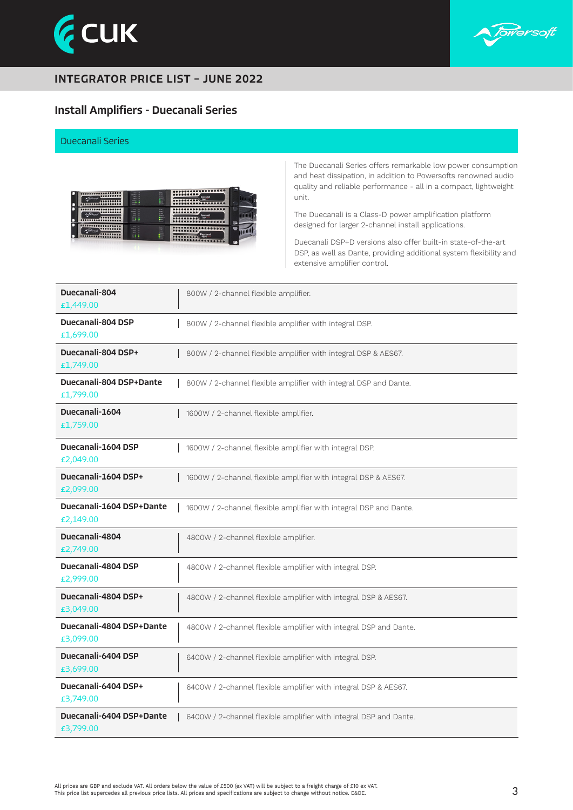



## Install Amplifiers - Duecanali Series

#### Duecanali Series



The Duecanali Series offers remarkable low power consumption and heat dissipation, in addition to Powersofts renowned audio quality and reliable performance - all in a compact, lightweight unit.

The Duecanali is a Class-D power amplification platform designed for larger 2-channel install applications.

Duecanali DSP+D versions also offer built-in state-of-the-art DSP, as well as Dante, providing additional system flexibility and extensive amplifier control.

| Duecanali-804<br>£1,449,00            | 800W / 2-channel flexible amplifier.                              |
|---------------------------------------|-------------------------------------------------------------------|
| Duecanali-804 DSP<br>£1,699.00        | 800W / 2-channel flexible amplifier with integral DSP.            |
| Duecanali-804 DSP+<br>£1,749.00       | 800W / 2-channel flexible amplifier with integral DSP & AES67.    |
| Duecanali-804 DSP+Dante<br>£1,799.00  | 800W / 2-channel flexible amplifier with integral DSP and Dante.  |
| Duecanali-1604<br>£1,759.00           | 1600W / 2-channel flexible amplifier.                             |
| Duecanali-1604 DSP<br>£2,049.00       | 1600W / 2-channel flexible amplifier with integral DSP.           |
| Duecanali-1604 DSP+<br>£2,099.00      | 1600W / 2-channel flexible amplifier with integral DSP & AES67.   |
| Duecanali-1604 DSP+Dante<br>£2,149.00 | 1600W / 2-channel flexible amplifier with integral DSP and Dante. |
| Duecanali-4804<br>£2,749.00           | 4800W / 2-channel flexible amplifier.                             |
| Duecanali-4804 DSP<br>£2,999.00       | 4800W / 2-channel flexible amplifier with integral DSP.           |
| Duecanali-4804 DSP+<br>£3,049.00      | 4800W / 2-channel flexible amplifier with integral DSP & AES67.   |
| Duecanali-4804 DSP+Dante<br>£3,099.00 | 4800W / 2-channel flexible amplifier with integral DSP and Dante. |
| Duecanali-6404 DSP<br>£3,699.00       | 6400W / 2-channel flexible amplifier with integral DSP.           |
| Duecanali-6404 DSP+<br>£3,749.00      | 6400W / 2-channel flexible amplifier with integral DSP & AES67.   |
| Duecanali-6404 DSP+Dante<br>£3,799.00 | 6400W / 2-channel flexible amplifier with integral DSP and Dante. |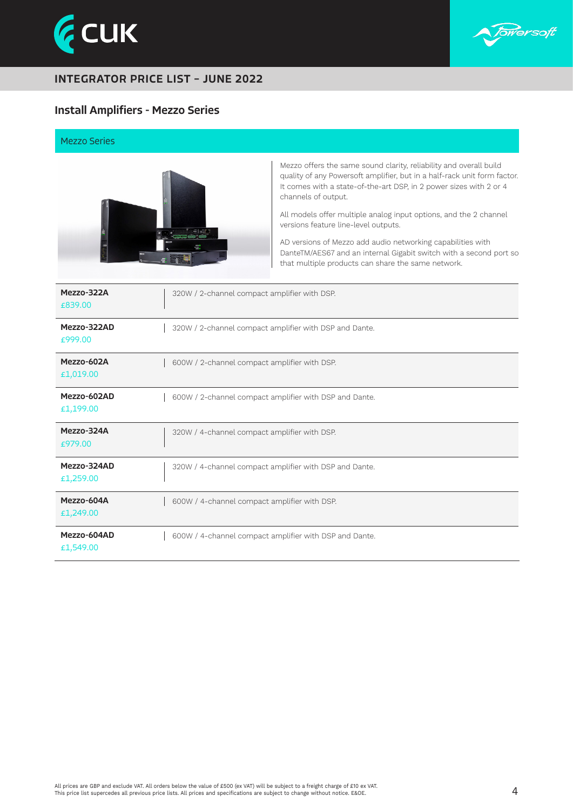



## Install Amplifiers - Mezzo Series

#### Mezzo Series



Mezzo offers the same sound clarity, reliability and overall build quality of any Powersoft amplifier, but in a half-rack unit form factor. It comes with a state-of-the-art DSP, in 2 power sizes with 2 or 4 channels of output.

All models offer multiple analog input options, and the 2 channel versions feature line-level outputs.

AD versions of Mezzo add audio networking capabilities with DanteTM/AES67 and an internal Gigabit switch with a second port so that multiple products can share the same network.

| Mezzo-322A<br>€839.00    | 320W / 2-channel compact amplifier with DSP.           |
|--------------------------|--------------------------------------------------------|
| Mezzo-322AD<br>€999.00   | 320W / 2-channel compact amplifier with DSP and Dante. |
| Mezzo-602A<br>£1,019.00  | 600W / 2-channel compact amplifier with DSP.           |
| Mezzo-602AD<br>£1,199.00 | 600W / 2-channel compact amplifier with DSP and Dante. |
| Mezzo-324A<br>£979.00    | 320W / 4-channel compact amplifier with DSP.           |
| Mezzo-324AD<br>£1,259.00 | 320W / 4-channel compact amplifier with DSP and Dante. |
| Mezzo-604A<br>£1,249.00  | 600W / 4-channel compact amplifier with DSP.           |
| Mezzo-604AD<br>£1,549.00 | 600W / 4-channel compact amplifier with DSP and Dante. |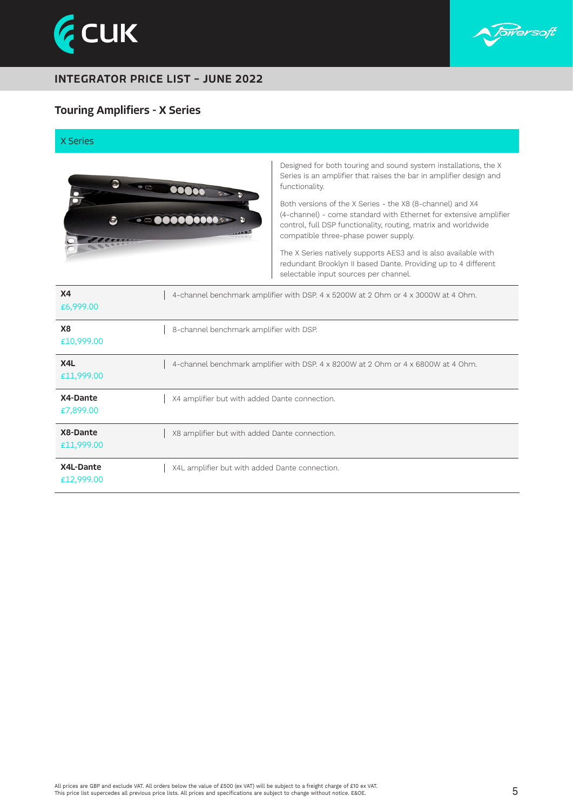



### Touring Amplifiers - X Series

#### X Series



Designed for both touring and sound system installations, the X Series is an amplifier that raises the bar in amplifier design and functionality.

Both versions of the X Series - the X8 (8-channel) and X4 (4-channel) - come standard with Ethernet for extensive amplifier control, full DSP functionality, routing, matrix and worldwide compatible three-phase power supply.

The X Series natively supports AES3 and is also available with redundant Brooklyn II based Dante. Providing up to 4 different selectable input sources per channel.

| X <sub>4</sub><br>£6,999.00 | 4-channel benchmark amplifier with DSP. 4 x 5200W at 2 Ohm or 4 x 3000W at 4 Ohm. |
|-----------------------------|-----------------------------------------------------------------------------------|
| <b>X8</b><br>£10,999.00     | 8-channel benchmark amplifier with DSP.                                           |
| X4L<br>£11,999.00           | 4-channel benchmark amplifier with DSP. 4 x 8200W at 2 Ohm or 4 x 6800W at 4 Ohm. |
| X4-Dante<br>£7,899.00       | X4 amplifier but with added Dante connection.                                     |
| X8-Dante<br>£11,999.00      | X8 amplifier but with added Dante connection.                                     |
| X4L-Dante<br>£12,999.00     | X4L amplifier but with added Dante connection.                                    |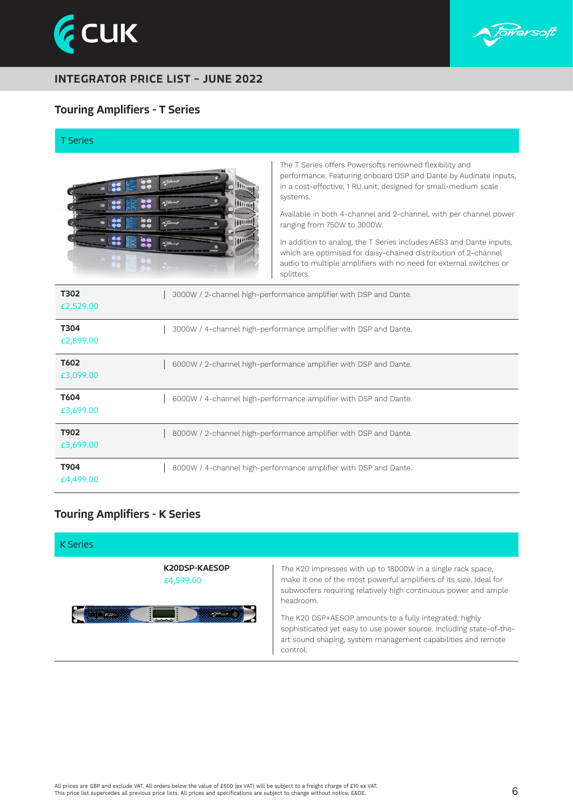



### Touring Amplifiers - T Series

T Series



The T Series offers Powersofts renowned flexibility and performance. Featuring onboard DSP and Dante by Audinate inputs, in a cost-effective, 1 RU unit, designed for small-medium scale systems.

Available in both 4-channel and 2-channel, with per channel power ranging from 750W to 3000W.

In addition to analog, the T Series includes AES3 and Dante inputs, which are optimised for daisy-chained distribution of 2-channel audio to multiple amplifiers with no need for external switches or splitters.

| T302<br>£2,529.00 | 3000W / 2-channel high-performance amplifier with DSP and Dante. |
|-------------------|------------------------------------------------------------------|
| T304<br>£2,899.00 | 3000W / 4-channel high-performance amplifier with DSP and Dante. |
| T602<br>£3,099.00 | 6000W / 2-channel high-performance amplifier with DSP and Dante. |
| T604<br>£3,699.00 | 6000W / 4-channel high-performance amplifier with DSP and Dante. |
| T902<br>£3,699.00 | 8000W / 2-channel high-performance amplifier with DSP and Dante. |
| T904<br>£4,499.00 | 8000W / 4-channel high-performance amplifier with DSP and Dante. |

### Touring Amplifiers - K Series



The K20 impresses with up to 18000W in a single rack space, make it one of the most powerful amplifiers of its size. Ideal for subwoofers requiring relatively high continuous power and ample

The K20 DSP+AESOP amounts to a fully integrated, highly sophisticated yet easy to use power source. Including state-of-theart sound shaping, system management capabilities and remote control.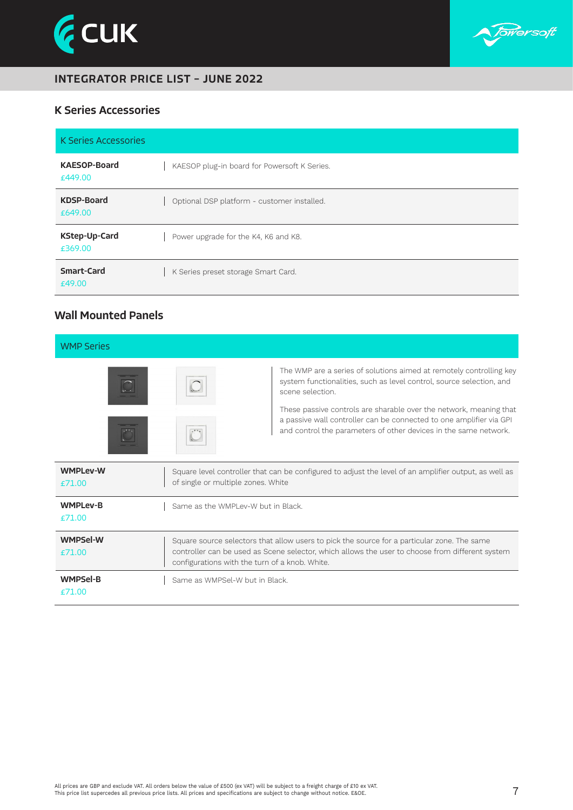



### K Series Accessories

| <b>K Series Accessories</b>    |                                              |
|--------------------------------|----------------------------------------------|
| <b>KAESOP-Board</b><br>£449.00 | KAESOP plug-in board for Powersoft K Series. |
| <b>KDSP-Board</b><br>£649.00   | Optional DSP platform - customer installed.  |
| KStep-Up-Card<br>£369.00       | Power upgrade for the K4, K6 and K8.         |
| <b>Smart-Card</b><br>£49.00    | K Series preset storage Smart Card.          |

## Wall Mounted Panels

| <b>WMP Series</b>            |                                                                                                                                                                                                                                                  |                                                                                                                                                                                                                                                                                                                                                                                  |  |
|------------------------------|--------------------------------------------------------------------------------------------------------------------------------------------------------------------------------------------------------------------------------------------------|----------------------------------------------------------------------------------------------------------------------------------------------------------------------------------------------------------------------------------------------------------------------------------------------------------------------------------------------------------------------------------|--|
|                              |                                                                                                                                                                                                                                                  | The WMP are a series of solutions aimed at remotely controlling key<br>system functionalities, such as level control, source selection, and<br>scene selection.<br>These passive controls are sharable over the network, meaning that<br>a passive wall controller can be connected to one amplifier via GPI<br>and control the parameters of other devices in the same network. |  |
| <b>WMPLev-W</b><br>£71.00    | Square level controller that can be configured to adjust the level of an amplifier output, as well as<br>of single or multiple zones. White                                                                                                      |                                                                                                                                                                                                                                                                                                                                                                                  |  |
| <b>WMPLev-B</b><br>£71.00    | Same as the WMPI ev-W but in Black.                                                                                                                                                                                                              |                                                                                                                                                                                                                                                                                                                                                                                  |  |
| <b>WMPSel-W</b><br>$f$ 71.00 | Square source selectors that allow users to pick the source for a particular zone. The same<br>controller can be used as Scene selector, which allows the user to choose from different system<br>configurations with the turn of a knob. White. |                                                                                                                                                                                                                                                                                                                                                                                  |  |
| <b>WMPSel-B</b><br>£71.00    | Same as WMPSel-W but in Black.                                                                                                                                                                                                                   |                                                                                                                                                                                                                                                                                                                                                                                  |  |